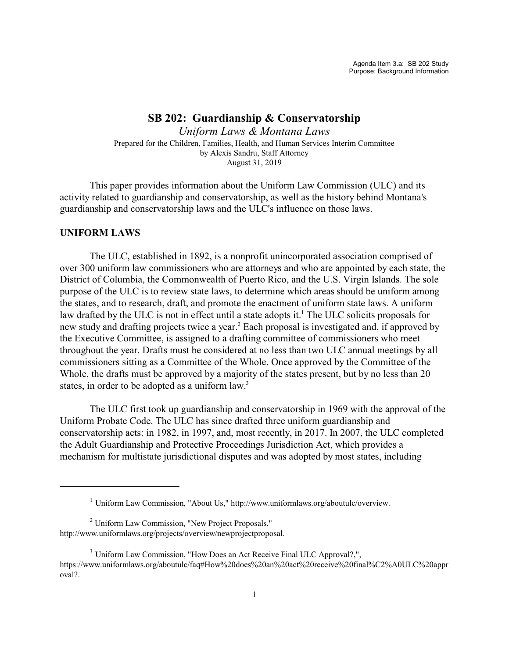## **SB 202: Guardianship & Conservatorship**

*Uniform Laws & Montana Laws* Prepared for the Children, Families, Health, and Human Services Interim Committee by Alexis Sandru, Staff Attorney August 31, 2019

This paper provides information about the Uniform Law Commission (ULC) and its activity related to guardianship and conservatorship, as well as the history behind Montana's guardianship and conservatorship laws and the ULC's influence on those laws.

## **UNIFORM LAWS**

The ULC, established in 1892, is a nonprofit unincorporated association comprised of over 300 uniform law commissioners who are attorneys and who are appointed by each state, the District of Columbia, the Commonwealth of Puerto Rico, and the U.S. Virgin Islands. The sole purpose of the ULC is to review state laws, to determine which areas should be uniform among the states, and to research, draft, and promote the enactment of uniform state laws. A uniform law drafted by the ULC is not in effect until a state adopts it.<sup>1</sup> The ULC solicits proposals for new study and drafting projects twice a year.<sup>2</sup> Each proposal is investigated and, if approved by the Executive Committee, is assigned to a drafting committee of commissioners who meet throughout the year. Drafts must be considered at no less than two ULC annual meetings by all commissioners sitting as a Committee of the Whole. Once approved by the Committee of the Whole, the drafts must be approved by a majority of the states present, but by no less than 20 states, in order to be adopted as a uniform law.<sup>3</sup>

The ULC first took up guardianship and conservatorship in 1969 with the approval of the Uniform Probate Code. The ULC has since drafted three uniform guardianship and conservatorship acts: in 1982, in 1997, and, most recently, in 2017. In 2007, the ULC completed the Adult Guardianship and Protective Proceedings Jurisdiction Act, which provides a mechanism for multistate jurisdictional disputes and was adopted by most states, including

<sup>1</sup> Uniform Law Commission, "About Us," http://www.uniformlaws.org/aboutulc/overview.

<sup>&</sup>lt;sup>2</sup> Uniform Law Commission, "New Project Proposals," http://www.uniformlaws.org/projects/overview/newprojectproposal.

<sup>&</sup>lt;sup>3</sup> Uniform Law Commission, "How Does an Act Receive Final ULC Approval?,", https://www.uniformlaws.org/aboutulc/faq#How%20does%20an%20act%20receive%20final%C2%A0ULC%20appr oval?.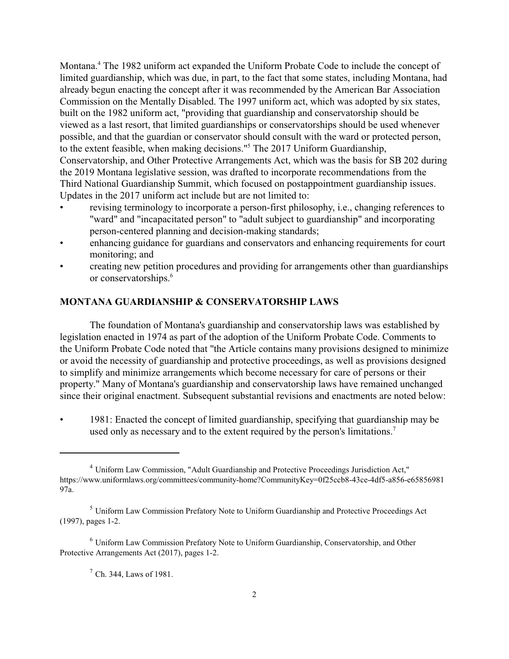Montana.<sup>4</sup> The 1982 uniform act expanded the Uniform Probate Code to include the concept of limited guardianship, which was due, in part, to the fact that some states, including Montana, had already begun enacting the concept after it was recommended by the American Bar Association Commission on the Mentally Disabled. The 1997 uniform act, which was adopted by six states, built on the 1982 uniform act, "providing that guardianship and conservatorship should be viewed as a last resort, that limited guardianships or conservatorships should be used whenever possible, and that the guardian or conservator should consult with the ward or protected person, to the extent feasible, when making decisions."<sup>5</sup> The 2017 Uniform Guardianship, Conservatorship, and Other Protective Arrangements Act, which was the basis for SB 202 during the 2019 Montana legislative session, was drafted to incorporate recommendations from the Third National Guardianship Summit, which focused on postappointment guardianship issues. Updates in the 2017 uniform act include but are not limited to:

- revising terminology to incorporate a person-first philosophy, i.e., changing references to "ward" and "incapacitated person" to "adult subject to guardianship" and incorporating person-centered planning and decision-making standards;
- enhancing guidance for guardians and conservators and enhancing requirements for court monitoring; and
- creating new petition procedures and providing for arrangements other than guardianships or conservatorships.<sup>6</sup>

## **MONTANA GUARDIANSHIP & CONSERVATORSHIP LAWS**

The foundation of Montana's guardianship and conservatorship laws was established by legislation enacted in 1974 as part of the adoption of the Uniform Probate Code. Comments to the Uniform Probate Code noted that "the Article contains many provisions designed to minimize or avoid the necessity of guardianship and protective proceedings, as well as provisions designed to simplify and minimize arrangements which become necessary for care of persons or their property." Many of Montana's guardianship and conservatorship laws have remained unchanged since their original enactment. Subsequent substantial revisions and enactments are noted below:

• 1981: Enacted the concept of limited guardianship, specifying that guardianship may be used only as necessary and to the extent required by the person's limitations.<sup>7</sup>

<sup>4</sup> Uniform Law Commission, "Adult Guardianship and Protective Proceedings Jurisdiction Act," https://www.uniformlaws.org/committees/community-home?CommunityKey=0f25ccb8-43ce-4df5-a856-e65856981 97a.

<sup>5</sup> Uniform Law Commission Prefatory Note to Uniform Guardianship and Protective Proceedings Act (1997), pages 1-2.

<sup>6</sup> Uniform Law Commission Prefatory Note to Uniform Guardianship, Conservatorship, and Other Protective Arrangements Act (2017), pages 1-2.

 $^7$  Ch. 344, Laws of 1981.